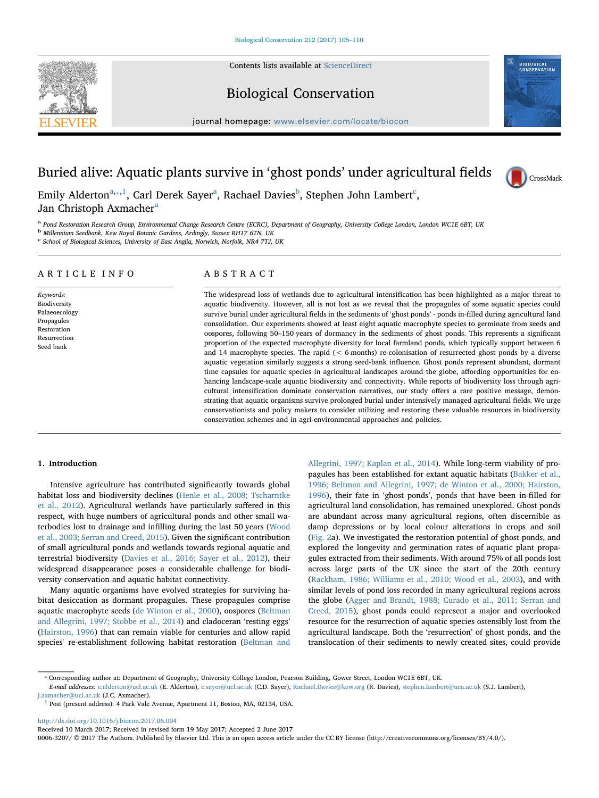Contents lists available at [ScienceDirect](http://www.sciencedirect.com/science/journal/00063207)



## Biological Conservation

journal homepage: [www.elsevier.com/locate/biocon](http://www.elsevier.com/locate/biocon)



# Buried alive: Aquatic plants survive in 'ghost ponds' under agricultural fields



Emily Alderton $^{\mathrm{a},\mathrm{a},1}$  $^{\mathrm{a},\mathrm{a},1}$  $^{\mathrm{a},\mathrm{a},1}$  $^{\mathrm{a},\mathrm{a},1}$  $^{\mathrm{a},\mathrm{a},1}$ , Carl Derek Sayer $^{\mathrm{a}}$ , Ra[c](#page-0-4)hael Davies $^{\mathrm{b}}$  $^{\mathrm{b}}$  $^{\mathrm{b}}$ , Stephen John Lambert $^{\mathrm{c}}$ , J[a](#page-0-0)n Christoph Axmacher<sup>a</sup>

<span id="page-0-0"></span>a Pond Restoration Research Group, Environmental Change Research Centre (ECRC), Department of Geography, University College London, London WC1E 6BT, UK

<span id="page-0-3"></span><sup>b</sup> Millennium Seedbank, Kew Royal Botanic Gardens, Ardingly, Sussex RH17 6TN, UK

<span id="page-0-4"></span><sup>c</sup> School of Biological Sciences, University of East Anglia, Norwich, Norfolk, NR4 7TJ, UK

#### ARTICLE INFO

Keywords: Biodiversity Palaeoecology Propagules Restoration Resurrection Seed bank

### ABSTRACT

The widespread loss of wetlands due to agricultural intensification has been highlighted as a major threat to aquatic biodiversity. However, all is not lost as we reveal that the propagules of some aquatic species could survive burial under agricultural fields in the sediments of 'ghost ponds' - ponds in-filled during agricultural land consolidation. Our experiments showed at least eight aquatic macrophyte species to germinate from seeds and oospores, following 50–150 years of dormancy in the sediments of ghost ponds. This represents a significant proportion of the expected macrophyte diversity for local farmland ponds, which typically support between 6 and 14 macrophyte species. The rapid  $(< 6$  months) re-colonisation of resurrected ghost ponds by a diverse aquatic vegetation similarly suggests a strong seed-bank influence. Ghost ponds represent abundant, dormant time capsules for aquatic species in agricultural landscapes around the globe, affording opportunities for enhancing landscape-scale aquatic biodiversity and connectivity. While reports of biodiversity loss through agricultural intensification dominate conservation narratives, our study offers a rare positive message, demonstrating that aquatic organisms survive prolonged burial under intensively managed agricultural fields. We urge conservationists and policy makers to consider utilizing and restoring these valuable resources in biodiversity conservation schemes and in agri-environmental approaches and policies.

#### 1. Introduction

Intensive agriculture has contributed significantly towards global habitat loss and biodiversity declines [\(Henle et al., 2008; Tscharntke](#page-5-0) [et al., 2012\)](#page-5-0). Agricultural wetlands have particularly suffered in this respect, with huge numbers of agricultural ponds and other small waterbodies lost to drainage and infilling during the last 50 years [\(Wood](#page-5-1) [et al., 2003; Serran and Creed, 2015](#page-5-1)). Given the significant contribution of small agricultural ponds and wetlands towards regional aquatic and terrestrial biodiversity ([Davies et al., 2016; Sayer et al., 2012](#page-5-2)), their widespread disappearance poses a considerable challenge for biodiversity conservation and aquatic habitat connectivity.

Many aquatic organisms have evolved strategies for surviving habitat desiccation as dormant propagules. These propagules comprise aquatic macrophyte seeds ([de Winton et al., 2000](#page-5-3)), oospores ([Beltman](#page-5-4) [and Allegrini, 1997; Stobbe et al., 2014\)](#page-5-4) and cladoceran 'resting eggs' ([Hairston, 1996\)](#page-5-5) that can remain viable for centuries and allow rapid species' re-establishment following habitat restoration [\(Beltman and](#page-5-4) [Allegrini, 1997; Kaplan et al., 2014](#page-5-4)). While long-term viability of propagules has been established for extant aquatic habitats ([Bakker et al.,](#page-5-6) [1996; Beltman and Allegrini, 1997; de Winton et al., 2000; Hairston,](#page-5-6) [1996\)](#page-5-6), their fate in 'ghost ponds', ponds that have been in-filled for agricultural land consolidation, has remained unexplored. Ghost ponds are abundant across many agricultural regions, often discernible as damp depressions or by local colour alterations in crops and soil ([Fig. 2a](#page-2-0)). We investigated the restoration potential of ghost ponds, and explored the longevity and germination rates of aquatic plant propagules extracted from their sediments. With around 75% of all ponds lost across large parts of the UK since the start of the 20th century ([Rackham, 1986; Williams et al., 2010; Wood et al., 2003](#page-5-7)), and with similar levels of pond loss recorded in many agricultural regions across the globe [\(Agger and Brandt, 1988; Curado et al., 2011; Serran and](#page-4-0) [Creed, 2015](#page-4-0)), ghost ponds could represent a major and overlooked resource for the resurrection of aquatic species ostensibly lost from the agricultural landscape. Both the 'resurrection' of ghost ponds, and the translocation of their sediments to newly created sites, could provide

<span id="page-0-1"></span>⁎ Corresponding author at: Department of Geography, University College London, Pearson Building, Gower Street, London WC1E 6BT, UK.

E-mail addresses: [e.alderton@ucl.ac.uk](mailto:e.alderton@ucl.ac.uk) (E. Alderton), [c.sayer@ucl.ac.uk](mailto:c.sayer@ucl.ac.uk) (C.D. Sayer), [Rachael.Davies@kew.org](mailto:Rachael.Davies@kew.org) (R. Davies), [stephen.lambert@uea.ac.uk](mailto:stephen.lambert@uea.ac.uk) (S.J. Lambert), [j.axmacher@ucl.ac.uk](mailto:j.axmacher@ucl.ac.uk) (J.C. Axmacher).

<span id="page-0-2"></span><sup>1</sup> Post (present address): 4 Park Vale Avenue, Apartment 11, Boston, MA, 02134, USA.

<http://dx.doi.org/10.1016/j.biocon.2017.06.004>

Received 10 March 2017; Received in revised form 19 May 2017; Accepted 2 June 2017

0006-3207/ © 2017 The Authors. Published by Elsevier Ltd. This is an open access article under the CC BY license (http://creativecommons.org/licenses/BY/4.0/).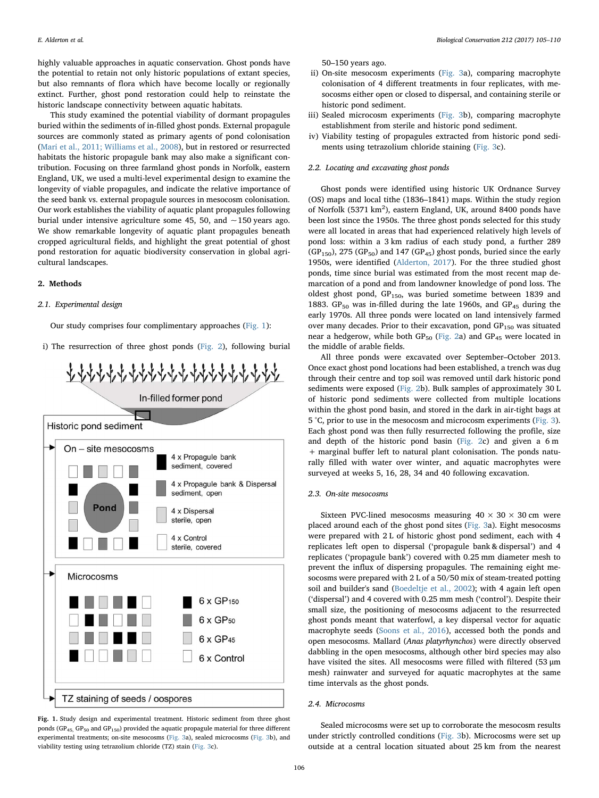highly valuable approaches in aquatic conservation. Ghost ponds have the potential to retain not only historic populations of extant species, but also remnants of flora which have become locally or regionally extinct. Further, ghost pond restoration could help to reinstate the historic landscape connectivity between aquatic habitats.

This study examined the potential viability of dormant propagules buried within the sediments of in-filled ghost ponds. External propagule sources are commonly stated as primary agents of pond colonisation ([Mari et al., 2011; Williams et al., 2008](#page-5-8)), but in restored or resurrected habitats the historic propagule bank may also make a significant contribution. Focusing on three farmland ghost ponds in Norfolk, eastern England, UK, we used a multi-level experimental design to examine the longevity of viable propagules, and indicate the relative importance of the seed bank vs. external propagule sources in mesocosm colonisation. Our work establishes the viability of aquatic plant propagules following burial under intensive agriculture some 45, 50, and  $\sim$  150 years ago. We show remarkable longevity of aquatic plant propagules beneath cropped agricultural fields, and highlight the great potential of ghost pond restoration for aquatic biodiversity conservation in global agricultural landscapes.

#### 2. Methods

#### 2.1. Experimental design

Our study comprises four complimentary approaches [\(Fig. 1\)](#page-1-0):

i) The resurrection of three ghost ponds [\(Fig. 2](#page-2-0)), following burial

<span id="page-1-0"></span>

Fig. 1. Study design and experimental treatment. Historic sediment from three ghost ponds ( $GP_{45}$ ,  $GP_{50}$  and  $GP_{150}$ ) provided the aquatic propagule material for three different experimental treatments; on-site mesocosms [\(Fig. 3a](#page-2-1)), sealed microcosms ([Fig. 3](#page-2-1)b), and viability testing using tetrazolium chloride (TZ) stain ([Fig. 3c](#page-2-1)).

50–150 years ago.

- ii) On-site mesocosm experiments [\(Fig. 3a](#page-2-1)), comparing macrophyte colonisation of 4 different treatments in four replicates, with mesocosms either open or closed to dispersal, and containing sterile or historic pond sediment.
- iii) Sealed microcosm experiments [\(Fig. 3b](#page-2-1)), comparing macrophyte establishment from sterile and historic pond sediment.
- iv) Viability testing of propagules extracted from historic pond sediments using tetrazolium chloride staining ([Fig. 3](#page-2-1)c).

#### 2.2. Locating and excavating ghost ponds

Ghost ponds were identified using historic UK Ordnance Survey (OS) maps and local tithe (1836–1841) maps. Within the study region of Norfolk (5371 km<sup>2</sup>), eastern England, UK, around 8400 ponds have been lost since the 1950s. The three ghost ponds selected for this study were all located in areas that had experienced relatively high levels of pond loss: within a 3 km radius of each study pond, a further 289  $(GP<sub>150</sub>)$ , 275  $(GP<sub>50</sub>)$  and 147  $(GP<sub>45</sub>)$  ghost ponds, buried since the early 1950s, were identified ([Alderton, 2017](#page-4-1)). For the three studied ghost ponds, time since burial was estimated from the most recent map demarcation of a pond and from landowner knowledge of pond loss. The oldest ghost pond, GP<sub>150</sub>, was buried sometime between 1839 and 1883. GP<sub>50</sub> was in-filled during the late 1960s, and GP<sub>45</sub> during the early 1970s. All three ponds were located on land intensively farmed over many decades. Prior to their excavation, pond  $GP<sub>150</sub>$  was situated near a hedgerow, while both  $GP_{50}$  [\(Fig. 2a](#page-2-0)) and  $GP_{45}$  were located in the middle of arable fields.

All three ponds were excavated over September–October 2013. Once exact ghost pond locations had been established, a trench was dug through their centre and top soil was removed until dark historic pond sediments were exposed ([Fig. 2](#page-2-0)b). Bulk samples of approximately 30 L of historic pond sediments were collected from multiple locations within the ghost pond basin, and stored in the dark in air-tight bags at 5 °C, prior to use in the mesocosm and microcosm experiments ([Fig. 3](#page-2-1)). Each ghost pond was then fully resurrected following the profile, size and depth of the historic pond basin ([Fig. 2](#page-2-0)c) and given a 6 m + marginal buffer left to natural plant colonisation. The ponds naturally filled with water over winter, and aquatic macrophytes were surveyed at weeks 5, 16, 28, 34 and 40 following excavation.

#### 2.3. On-site mesocosms

Sixteen PVC-lined mesocosms measuring  $40 \times 30 \times 30$  cm were placed around each of the ghost pond sites [\(Fig. 3](#page-2-1)a). Eight mesocosms were prepared with 2 L of historic ghost pond sediment, each with 4 replicates left open to dispersal ('propagule bank & dispersal') and 4 replicates ('propagule bank') covered with 0.25 mm diameter mesh to prevent the influx of dispersing propagules. The remaining eight mesocosms were prepared with 2 L of a 50/50 mix of steam-treated potting soil and builder's sand ([Boedeltje et al., 2002](#page-5-9)); with 4 again left open ('dispersal') and 4 covered with 0.25 mm mesh ('control'). Despite their small size, the positioning of mesocosms adjacent to the resurrected ghost ponds meant that waterfowl, a key dispersal vector for aquatic macrophyte seeds [\(Soons et al., 2016\)](#page-5-10), accessed both the ponds and open mesocosms. Mallard (Anas platyrhynchos) were directly observed dabbling in the open mesocosms, although other bird species may also have visited the sites. All mesocosms were filled with filtered (53 μm mesh) rainwater and surveyed for aquatic macrophytes at the same time intervals as the ghost ponds.

#### 2.4. Microcosms

Sealed microcosms were set up to corroborate the mesocosm results under strictly controlled conditions [\(Fig. 3b](#page-2-1)). Microcosms were set up outside at a central location situated about 25 km from the nearest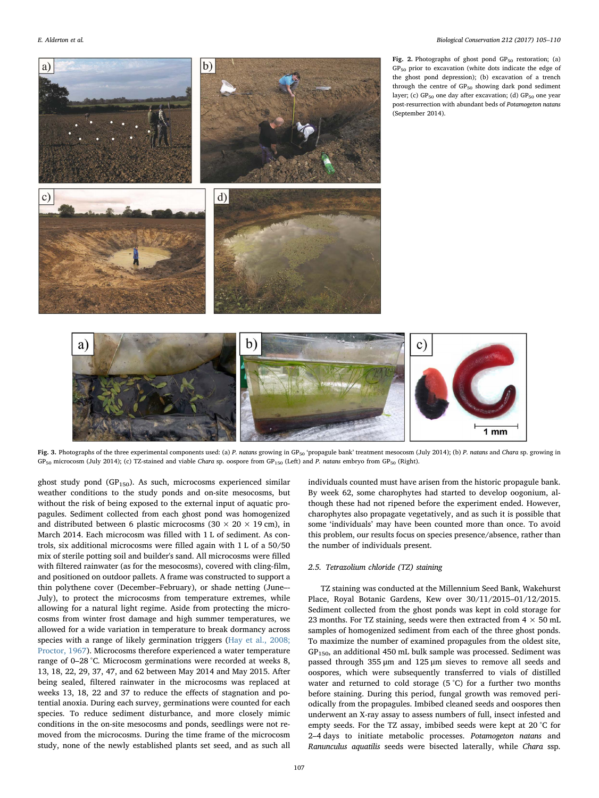<span id="page-2-0"></span>

<span id="page-2-1"></span>Fig. 3. Photographs of the three experimental components used: (a) P. natans growing in GP<sub>50</sub> 'propagule bank' treatment mesocosm (July 2014); (b) P. natans and Chara sp. growing in GP<sub>50</sub> microcosm (July 2014); (c) TZ-stained and viable Chara sp. oospore from GP<sub>150</sub> (Left) and P. natans embryo from GP<sub>50</sub> (Right).

ghost study pond ( $GP_{150}$ ). As such, microcosms experienced similar weather conditions to the study ponds and on-site mesocosms, but without the risk of being exposed to the external input of aquatic propagules. Sediment collected from each ghost pond was homogenized and distributed between 6 plastic microcosms ( $30 \times 20 \times 19$  cm), in March 2014. Each microcosm was filled with 1 L of sediment. As controls, six additional microcosms were filled again with 1 L of a 50/50 mix of sterile potting soil and builder's sand. All microcosms were filled with filtered rainwater (as for the mesocosms), covered with cling-film, and positioned on outdoor pallets. A frame was constructed to support a thin polythene cover (December–February), or shade netting (June–- July), to protect the microcosms from temperature extremes, while allowing for a natural light regime. Aside from protecting the microcosms from winter frost damage and high summer temperatures, we allowed for a wide variation in temperature to break dormancy across species with a range of likely germination triggers [\(Hay et al., 2008;](#page-5-11) [Proctor, 1967](#page-5-11)). Microcosms therefore experienced a water temperature range of 0–28 °C. Microcosm germinations were recorded at weeks 8, 13, 18, 22, 29, 37, 47, and 62 between May 2014 and May 2015. After being sealed, filtered rainwater in the microcosms was replaced at weeks 13, 18, 22 and 37 to reduce the effects of stagnation and potential anoxia. During each survey, germinations were counted for each species. To reduce sediment disturbance, and more closely mimic conditions in the on-site mesocosms and ponds, seedlings were not removed from the microcosms. During the time frame of the microcosm study, none of the newly established plants set seed, and as such all individuals counted must have arisen from the historic propagule bank. By week 62, some charophytes had started to develop oogonium, although these had not ripened before the experiment ended. However, charophytes also propagate vegetatively, and as such it is possible that some 'individuals' may have been counted more than once. To avoid this problem, our results focus on species presence/absence, rather than the number of individuals present.

#### 2.5. Tetrazolium chloride (TZ) staining

TZ staining was conducted at the Millennium Seed Bank, Wakehurst Place, Royal Botanic Gardens, Kew over 30/11/2015–01/12/2015. Sediment collected from the ghost ponds was kept in cold storage for 23 months. For TZ staining, seeds were then extracted from  $4 \times 50$  mL samples of homogenized sediment from each of the three ghost ponds. To maximize the number of examined propagules from the oldest site,  $GP<sub>150</sub>$ , an additional 450 mL bulk sample was processed. Sediment was passed through 355 μm and 125 μm sieves to remove all seeds and oospores, which were subsequently transferred to vials of distilled water and returned to cold storage (5 °C) for a further two months before staining. During this period, fungal growth was removed periodically from the propagules. Imbibed cleaned seeds and oospores then underwent an X-ray assay to assess numbers of full, insect infested and empty seeds. For the TZ assay, imbibed seeds were kept at 20 °C for 2–4 days to initiate metabolic processes. Potamogeton natans and Ranunculus aquatilis seeds were bisected laterally, while Chara ssp.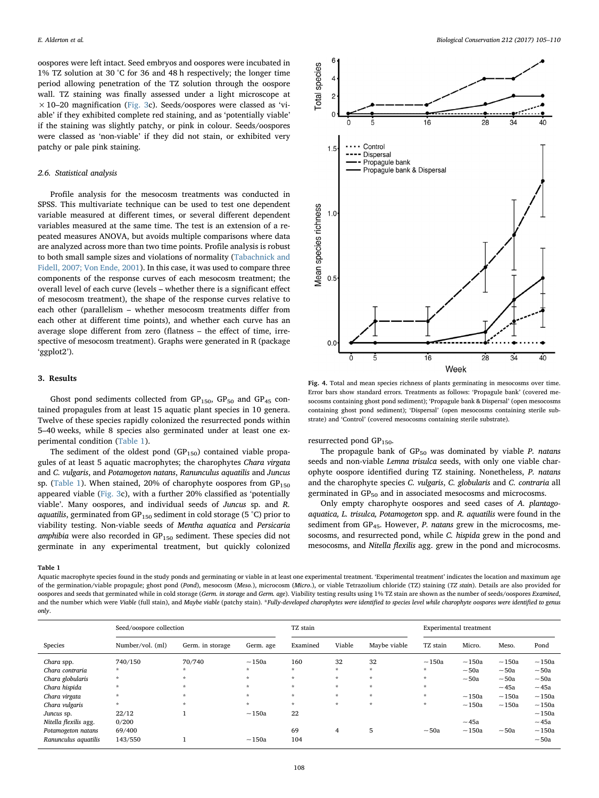oospores were left intact. Seed embryos and oospores were incubated in 1% TZ solution at 30 °C for 36 and 48 h respectively; the longer time period allowing penetration of the TZ solution through the oospore wall. TZ staining was finally assessed under a light microscope at  $\times$  10–20 magnification ([Fig. 3c](#page-2-1)). Seeds/oospores were classed as 'viable' if they exhibited complete red staining, and as 'potentially viable' if the staining was slightly patchy, or pink in colour. Seeds/oospores were classed as 'non-viable' if they did not stain, or exhibited very patchy or pale pink staining.

#### 2.6. Statistical analysis

Profile analysis for the mesocosm treatments was conducted in SPSS. This multivariate technique can be used to test one dependent variable measured at different times, or several different dependent variables measured at the same time. The test is an extension of a repeated measures ANOVA, but avoids multiple comparisons where data are analyzed across more than two time points. Profile analysis is robust to both small sample sizes and violations of normality ([Tabachnick and](#page-5-12) [Fidell, 2007; Von Ende, 2001](#page-5-12)). In this case, it was used to compare three components of the response curves of each mesocosm treatment; the overall level of each curve (levels – whether there is a significant effect of mesocosm treatment), the shape of the response curves relative to each other (parallelism – whether mesocosm treatments differ from each other at different time points), and whether each curve has an average slope different from zero (flatness – the effect of time, irrespective of mesocosm treatment). Graphs were generated in R (package 'ggplot2').

#### 3. Results

Ghost pond sediments collected from  $GP<sub>150</sub>$ ,  $GP<sub>50</sub>$  and  $GP<sub>45</sub>$  contained propagules from at least 15 aquatic plant species in 10 genera. Twelve of these species rapidly colonized the resurrected ponds within 5–40 weeks, while 8 species also germinated under at least one experimental condition ([Table 1](#page-3-0)).

The sediment of the oldest pond  $(GP_{150})$  contained viable propagules of at least 5 aquatic macrophytes; the charophytes Chara virgata and C. vulgaris, and Potamogeton natans, Ranunculus aquatilis and Juncus sp. ([Table 1\)](#page-3-0). When stained, 20% of charophyte oospores from  $GP_{150}$ appeared viable ([Fig. 3](#page-2-1)c), with a further 20% classified as 'potentially viable'. Many oospores, and individual seeds of Juncus sp. and R. aquatilis, germinated from GP<sub>150</sub> sediment in cold storage (5 °C) prior to viability testing. Non-viable seeds of Mentha aquatica and Persicaria amphibia were also recorded in  $GP_{150}$  sediment. These species did not germinate in any experimental treatment, but quickly colonized

<span id="page-3-1"></span>

Fig. 4. Total and mean species richness of plants germinating in mesocosms over time. Error bars show standard errors. Treatments as follows: 'Propagule bank' (covered mesocosms containing ghost pond sediment); 'Propagule bank & Dispersal' (open mesocosms containing ghost pond sediment); 'Dispersal' (open mesocosms containing sterile substrate) and 'Control' (covered mesocosms containing sterile substrate).

resurrected pond  $GP_{150}$ .

The propagule bank of  $GP_{50}$  was dominated by viable P. natans seeds and non-viable Lemna trisulca seeds, with only one viable charophyte oospore identified during TZ staining. Nonetheless, P. natans and the charophyte species C. vulgaris, C. globularis and C. contraria all germinated in  $GP_{50}$  and in associated mesocosms and microcosms.

Only empty charophyte oospores and seed cases of A. plantagoaquatica, L. trisulca, Potamogeton spp. and R. aquatilis were found in the sediment from  $GP_{45}$ . However, P. natans grew in the microcosms, mesocosms, and resurrected pond, while C. hispida grew in the pond and mesocosms, and Nitella flexilis agg. grew in the pond and microcosms.

#### <span id="page-3-0"></span>Table 1

Aquatic macrophyte species found in the study ponds and germinating or viable in at least one experimental treatment. 'Experimental treatment' indicates the location and maximum age of the germination/viable propagule; ghost pond (Pond), mesocosm (Meso.), microcosm (Micro.), or viable Tetrazolium chloride (TZ) staining (TZ stain). Details are also provided for oospores and seeds that germinated while in cold storage (Germ. in storage and Germ. age). Viability testing results using 1% TZ stain are shown as the number of seeds/oospores Examined, and the number which were Viable (full stain), and Maybe viable (patchy stain). \*Fully-developed charophytes were identified to species level while charophyte oospores were identified to genus only.

|                       | Seed/oospore collection |                  |             | TZ stain |         |              | Experimental treatment |             |             |             |
|-----------------------|-------------------------|------------------|-------------|----------|---------|--------------|------------------------|-------------|-------------|-------------|
| Species               | Number/vol. (ml)        | Germ. in storage | Germ. age   | Examined | Viable  | Maybe viable | TZ stain               | Micro.      | Meso.       | Pond        |
| Chara spp.            | 740/150                 | 70/740           | $\sim$ 150a | 160      | 32      | 32           | $\sim$ 150a            | $\sim$ 150a | $\sim$ 150a | $\sim$ 150a |
| Chara contraria       | $\star$                 | * .              | $\star$     | $\star$  | $\star$ | $\star$      | $\star$                | ~50a        | ~50a        | ~50a        |
| Chara globularis      | $\star$                 | *.               | $\star$     | $\star$  | $\star$ | $\star$      | $\star$                | ~50a        | ~50a        | ~50a        |
| Chara hispida         | $\star$                 | *.               | $\star$     | $\star$  | $\star$ | $\star$      | $\star$                |             | $~1$ 45a    | ~15a        |
| Chara virgata         | $\star$                 | ÷                | $\star$     | $\star$  | $\star$ | $\star$      | $\star$                | $\sim$ 150a | $\sim$ 150a | $\sim$ 150a |
| Chara vulgaris        | $\star$                 | ÷                | $\star$     | $\star$  | $\star$ | $\star$      | $\star$                | $\sim$ 150a | $\sim$ 150a | $\sim$ 150a |
| Juncus sp.            | 22/12                   |                  | $\sim$ 150a | 22       |         |              |                        |             |             | ~150a       |
| Nitella flexilis agg. | 0/200                   |                  |             |          |         |              |                        | $~1$ 45a    |             | $~1$ 45a    |
| Potamogeton natans    | 69/400                  |                  |             | 69       | 4       | 5            | ~50a                   | $\sim$ 150a | ~50a        | $\sim$ 150a |
| Ranunculus aquatilis  | 143/550                 |                  | $\sim$ 150a | 104      |         |              |                        |             |             | ~50a        |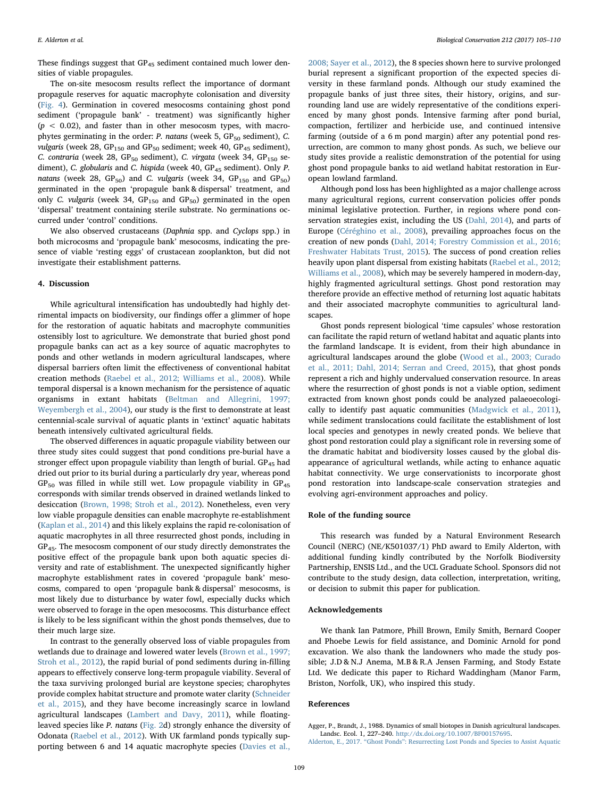These findings suggest that GP<sub>45</sub> sediment contained much lower densities of viable propagules.

The on-site mesocosm results reflect the importance of dormant propagule reserves for aquatic macrophyte colonisation and diversity ([Fig. 4](#page-3-1)). Germination in covered mesocosms containing ghost pond sediment ('propagule bank' - treatment) was significantly higher  $(p < 0.02)$ , and faster than in other mesocosm types, with macrophytes germinating in the order: P. natans (week 5,  $GP_{50}$  sediment), C. vulgaris (week 28,  $GP_{150}$  and  $GP_{50}$  sediment; week 40,  $GP_{45}$  sediment), C. contraria (week 28,  $GP_{50}$  sediment), C. virgata (week 34,  $GP_{150}$  sediment), C. globularis and C. hispida (week 40, GP<sub>45</sub> sediment). Only P. natans (week 28,  $GP_{50}$ ) and C. vulgaris (week 34,  $GP_{150}$  and  $GP_{50}$ ) germinated in the open 'propagule bank & dispersal' treatment, and only C. vulgaris (week 34,  $GP_{150}$  and  $GP_{50}$ ) germinated in the open 'dispersal' treatment containing sterile substrate. No germinations occurred under 'control' conditions.

We also observed crustaceans (Daphnia spp. and Cyclops spp.) in both microcosms and 'propagule bank' mesocosms, indicating the presence of viable 'resting eggs' of crustacean zooplankton, but did not investigate their establishment patterns.

#### 4. Discussion

While agricultural intensification has undoubtedly had highly detrimental impacts on biodiversity, our findings offer a glimmer of hope for the restoration of aquatic habitats and macrophyte communities ostensibly lost to agriculture. We demonstrate that buried ghost pond propagule banks can act as a key source of aquatic macrophytes to ponds and other wetlands in modern agricultural landscapes, where dispersal barriers often limit the effectiveness of conventional habitat creation methods [\(Raebel et al., 2012; Williams et al., 2008](#page-5-13)). While temporal dispersal is a known mechanism for the persistence of aquatic organisms in extant habitats ([Beltman and Allegrini, 1997;](#page-5-4) [Weyembergh et al., 2004\)](#page-5-4), our study is the first to demonstrate at least centennial-scale survival of aquatic plants in 'extinct' aquatic habitats beneath intensively cultivated agricultural fields.

The observed differences in aquatic propagule viability between our three study sites could suggest that pond conditions pre-burial have a stronger effect upon propagule viability than length of burial.  $GP_{45}$  had dried out prior to its burial during a particularly dry year, whereas pond  $GP<sub>50</sub>$  was filled in while still wet. Low propagule viability in  $GP<sub>45</sub>$ corresponds with similar trends observed in drained wetlands linked to desiccation [\(Brown, 1998; Stroh et al., 2012\)](#page-5-14). Nonetheless, even very low viable propagule densities can enable macrophyte re-establishment ([Kaplan et al., 2014](#page-5-15)) and this likely explains the rapid re-colonisation of aquatic macrophytes in all three resurrected ghost ponds, including in GP45. The mesocosm component of our study directly demonstrates the positive effect of the propagule bank upon both aquatic species diversity and rate of establishment. The unexpected significantly higher macrophyte establishment rates in covered 'propagule bank' mesocosms, compared to open 'propagule bank & dispersal' mesocosms, is most likely due to disturbance by water fowl, especially ducks which were observed to forage in the open mesocosms. This disturbance effect is likely to be less significant within the ghost ponds themselves, due to their much large size.

In contrast to the generally observed loss of viable propagules from wetlands due to drainage and lowered water levels [\(Brown et al., 1997;](#page-5-16) [Stroh et al., 2012](#page-5-16)), the rapid burial of pond sediments during in-filling appears to effectively conserve long-term propagule viability. Several of the taxa surviving prolonged burial are keystone species; charophytes provide complex habitat structure and promote water clarity ([Schneider](#page-5-17) [et al., 2015\)](#page-5-17), and they have become increasingly scarce in lowland agricultural landscapes [\(Lambert and Davy, 2011\)](#page-5-18), while floatingleaved species like P. natans [\(Fig. 2](#page-2-0)d) strongly enhance the diversity of Odonata [\(Raebel et al., 2012\)](#page-5-13). With UK farmland ponds typically supporting between 6 and 14 aquatic macrophyte species [\(Davies et al.,](#page-5-19)

[2008; Sayer et al., 2012\)](#page-5-19), the 8 species shown here to survive prolonged burial represent a significant proportion of the expected species diversity in these farmland ponds. Although our study examined the propagule banks of just three sites, their history, origins, and surrounding land use are widely representative of the conditions experienced by many ghost ponds. Intensive farming after pond burial, compaction, fertilizer and herbicide use, and continued intensive farming (outside of a 6 m pond margin) after any potential pond resurrection, are common to many ghost ponds. As such, we believe our study sites provide a realistic demonstration of the potential for using ghost pond propagule banks to aid wetland habitat restoration in European lowland farmland.

Although pond loss has been highlighted as a major challenge across many agricultural regions, current conservation policies offer ponds minimal legislative protection. Further, in regions where pond conservation strategies exist, including the US [\(Dahl, 2014\)](#page-5-20), and parts of Europe [\(Céréghino et al., 2008](#page-5-21)), prevailing approaches focus on the creation of new ponds [\(Dahl, 2014; Forestry Commission et al., 2016;](#page-5-20) [Freshwater Habitats Trust, 2015\)](#page-5-20). The success of pond creation relies heavily upon plant dispersal from existing habitats ([Raebel et al., 2012;](#page-5-13) [Williams et al., 2008\)](#page-5-13), which may be severely hampered in modern-day, highly fragmented agricultural settings. Ghost pond restoration may therefore provide an effective method of returning lost aquatic habitats and their associated macrophyte communities to agricultural landscapes.

Ghost ponds represent biological 'time capsules' whose restoration can facilitate the rapid return of wetland habitat and aquatic plants into the farmland landscape. It is evident, from their high abundance in agricultural landscapes around the globe (Wood [et al., 2003; Curado](#page-5-1) [et al., 2011; Dahl, 2014; Serran and Creed, 2015\)](#page-5-1), that ghost ponds represent a rich and highly undervalued conservation resource. In areas where the resurrection of ghost ponds is not a viable option, sediment extracted from known ghost ponds could be analyzed palaeoecologically to identify past aquatic communities [\(Madgwick et al., 2011](#page-5-22)), while sediment translocations could facilitate the establishment of lost local species and genotypes in newly created ponds. We believe that ghost pond restoration could play a significant role in reversing some of the dramatic habitat and biodiversity losses caused by the global disappearance of agricultural wetlands, while acting to enhance aquatic habitat connectivity. We urge conservationists to incorporate ghost pond restoration into landscape-scale conservation strategies and evolving agri-environment approaches and policy.

#### Role of the funding source

This research was funded by a Natural Environment Research Council (NERC) (NE/K501037/1) PhD award to Emily Alderton, with additional funding kindly contributed by the Norfolk Biodiversity Partnership, ENSIS Ltd., and the UCL Graduate School. Sponsors did not contribute to the study design, data collection, interpretation, writing, or decision to submit this paper for publication.

#### Acknowledgements

We thank Ian Patmore, Phill Brown, Emily Smith, Bernard Cooper and Phoebe Lewis for field assistance, and Dominic Arnold for pond excavation. We also thank the landowners who made the study possible; J.D & N.J Anema, M.B & R.A Jensen Farming, and Stody Estate Ltd. We dedicate this paper to Richard Waddingham (Manor Farm, Briston, Norfolk, UK), who inspired this study.

#### References

<span id="page-4-0"></span>Agger, P., Brandt, J., 1988. Dynamics of small biotopes in Danish agricultural landscapes. Landsc. Ecol. 1, 227–240. [http://dx.doi.org/10.1007/BF00157695.](http://dx.doi.org/10.1007/BF00157695)

<span id="page-4-1"></span>Alderton, E., 2017. "Ghost Ponds"[: Resurrecting Lost Ponds and Species to Assist Aquatic](http://refhub.elsevier.com/S0006-3207(17)30434-2/rf0010)